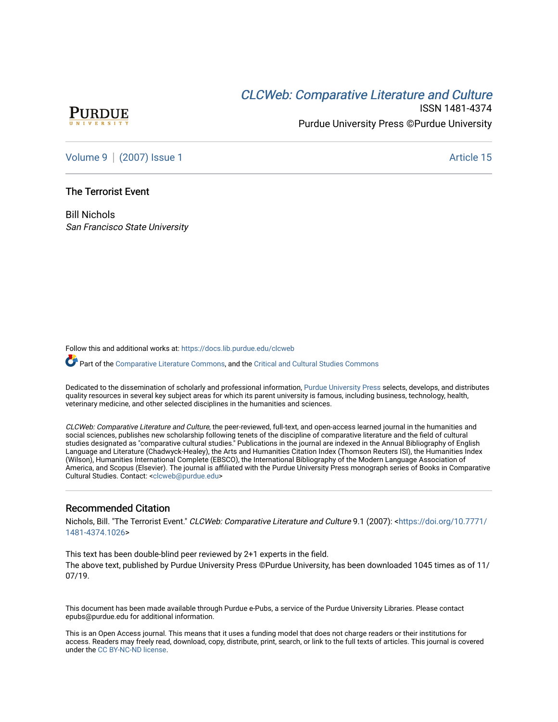# CLCW[eb: Comparative Liter](https://docs.lib.purdue.edu/clcweb)ature and Culture



ISSN 1481-4374 Purdue University Press ©Purdue University

[Volume 9](https://docs.lib.purdue.edu/clcweb/vol9) | [\(2007\) Issue 1](https://docs.lib.purdue.edu/clcweb/vol9/iss1) Article 15

### The Terrorist Event

Bill Nichols San Francisco State University

Follow this and additional works at: [https://docs.lib.purdue.edu/clcweb](https://docs.lib.purdue.edu/clcweb?utm_source=docs.lib.purdue.edu%2Fclcweb%2Fvol9%2Fiss1%2F15&utm_medium=PDF&utm_campaign=PDFCoverPages)

Part of the [Comparative Literature Commons,](http://network.bepress.com/hgg/discipline/454?utm_source=docs.lib.purdue.edu%2Fclcweb%2Fvol9%2Fiss1%2F15&utm_medium=PDF&utm_campaign=PDFCoverPages) and the Critical and Cultural Studies Commons

Dedicated to the dissemination of scholarly and professional information, [Purdue University Press](http://www.thepress.purdue.edu/) selects, develops, and distributes quality resources in several key subject areas for which its parent university is famous, including business, technology, health, veterinary medicine, and other selected disciplines in the humanities and sciences.

CLCWeb: Comparative Literature and Culture, the peer-reviewed, full-text, and open-access learned journal in the humanities and social sciences, publishes new scholarship following tenets of the discipline of comparative literature and the field of cultural studies designated as "comparative cultural studies." Publications in the journal are indexed in the Annual Bibliography of English Language and Literature (Chadwyck-Healey), the Arts and Humanities Citation Index (Thomson Reuters ISI), the Humanities Index (Wilson), Humanities International Complete (EBSCO), the International Bibliography of the Modern Language Association of America, and Scopus (Elsevier). The journal is affiliated with the Purdue University Press monograph series of Books in Comparative Cultural Studies. Contact: [<clcweb@purdue.edu](mailto:clcweb@purdue.edu)>

## Recommended Citation

Nichols, Bill. "The Terrorist Event." CLCWeb: Comparative Literature and Culture 9.1 (2007): <[https://doi.org/10.7771/](https://doi.org/10.7771/1481-4374.1026) [1481-4374.1026](https://doi.org/10.7771/1481-4374.1026)>

This text has been double-blind peer reviewed by 2+1 experts in the field. The above text, published by Purdue University Press ©Purdue University, has been downloaded 1045 times as of 11/ 07/19.

This document has been made available through Purdue e-Pubs, a service of the Purdue University Libraries. Please contact epubs@purdue.edu for additional information.

This is an Open Access journal. This means that it uses a funding model that does not charge readers or their institutions for access. Readers may freely read, download, copy, distribute, print, search, or link to the full texts of articles. This journal is covered under the [CC BY-NC-ND license.](https://creativecommons.org/licenses/by-nc-nd/4.0/)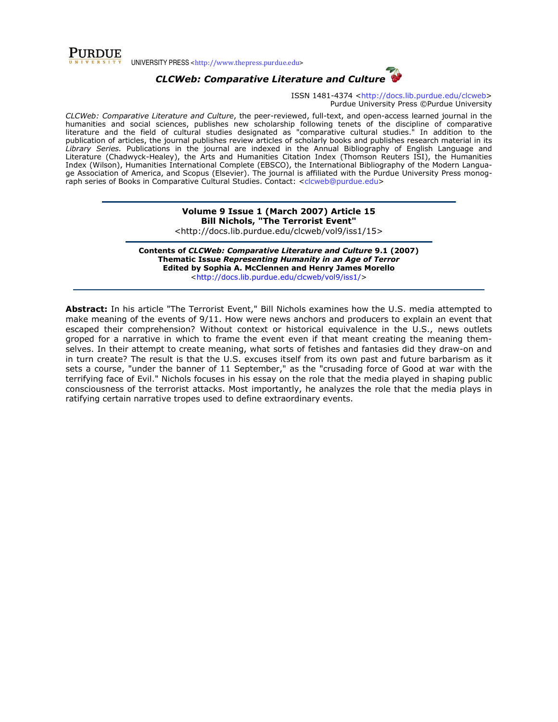**PURDUE** UNIVERSITY PRESS <http://www.thepress.purdue.edu>

# CLCWeb: Comparative Literature and Culture

ISSN 1481-4374 <http://docs.lib.purdue.edu/clcweb> Purdue University Press ©Purdue University

CLCWeb: Comparative Literature and Culture, the peer-reviewed, full-text, and open-access learned journal in the humanities and social sciences, publishes new scholarship following tenets of the discipline of comparative literature and the field of cultural studies designated as "comparative cultural studies." In addition to the publication of articles, the journal publishes review articles of scholarly books and publishes research material in its Library Series. Publications in the journal are indexed in the Annual Bibliography of English Language and Literature (Chadwyck-Healey), the Arts and Humanities Citation Index (Thomson Reuters ISI), the Humanities Index (Wilson), Humanities International Complete (EBSCO), the International Bibliography of the Modern Language Association of America, and Scopus (Elsevier). The journal is affiliated with the Purdue University Press monograph series of Books in Comparative Cultural Studies. Contact: <clcweb@purdue.edu>

# Volume 9 Issue 1 (March 2007) Article 15 Bill Nichols, "The Terrorist Event"

<http://docs.lib.purdue.edu/clcweb/vol9/iss1/15>

Contents of CLCWeb: Comparative Literature and Culture 9.1 (2007) Thematic Issue Representing Humanity in an Age of Terror Edited by Sophia A. McClennen and Henry James Morello <http://docs.lib.purdue.edu/clcweb/vol9/iss1/>

Abstract: In his article "The Terrorist Event," Bill Nichols examines how the U.S. media attempted to make meaning of the events of 9/11. How were news anchors and producers to explain an event that escaped their comprehension? Without context or historical equivalence in the U.S., news outlets groped for a narrative in which to frame the event even if that meant creating the meaning themselves. In their attempt to create meaning, what sorts of fetishes and fantasies did they draw-on and in turn create? The result is that the U.S. excuses itself from its own past and future barbarism as it sets a course, "under the banner of 11 September," as the "crusading force of Good at war with the terrifying face of Evil." Nichols focuses in his essay on the role that the media played in shaping public consciousness of the terrorist attacks. Most importantly, he analyzes the role that the media plays in ratifying certain narrative tropes used to define extraordinary events.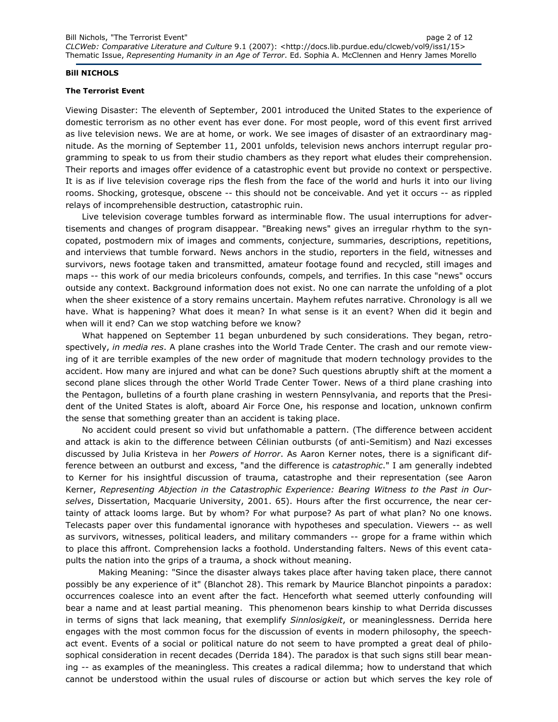### Bill NICHOLS

#### The Terrorist Event

Viewing Disaster: The eleventh of September, 2001 introduced the United States to the experience of domestic terrorism as no other event has ever done. For most people, word of this event first arrived as live television news. We are at home, or work. We see images of disaster of an extraordinary magnitude. As the morning of September 11, 2001 unfolds, television news anchors interrupt regular programming to speak to us from their studio chambers as they report what eludes their comprehension. Their reports and images offer evidence of a catastrophic event but provide no context or perspective. It is as if live television coverage rips the flesh from the face of the world and hurls it into our living rooms. Shocking, grotesque, obscene -- this should not be conceivable. And yet it occurs -- as rippled relays of incomprehensible destruction, catastrophic ruin.

Live television coverage tumbles forward as interminable flow. The usual interruptions for advertisements and changes of program disappear. "Breaking news" gives an irregular rhythm to the syncopated, postmodern mix of images and comments, conjecture, summaries, descriptions, repetitions, and interviews that tumble forward. News anchors in the studio, reporters in the field, witnesses and survivors, news footage taken and transmitted, amateur footage found and recycled, still images and maps -- this work of our media bricoleurs confounds, compels, and terrifies. In this case "news" occurs outside any context. Background information does not exist. No one can narrate the unfolding of a plot when the sheer existence of a story remains uncertain. Mayhem refutes narrative. Chronology is all we have. What is happening? What does it mean? In what sense is it an event? When did it begin and when will it end? Can we stop watching before we know?

What happened on September 11 began unburdened by such considerations. They began, retrospectively, in media res. A plane crashes into the World Trade Center. The crash and our remote viewing of it are terrible examples of the new order of magnitude that modern technology provides to the accident. How many are injured and what can be done? Such questions abruptly shift at the moment a second plane slices through the other World Trade Center Tower. News of a third plane crashing into the Pentagon, bulletins of a fourth plane crashing in western Pennsylvania, and reports that the President of the United States is aloft, aboard Air Force One, his response and location, unknown confirm the sense that something greater than an accident is taking place.

No accident could present so vivid but unfathomable a pattern. (The difference between accident and attack is akin to the difference between Célinian outbursts (of anti-Semitism) and Nazi excesses discussed by Julia Kristeva in her Powers of Horror. As Aaron Kerner notes, there is a significant difference between an outburst and excess, "and the difference is catastrophic." I am generally indebted to Kerner for his insightful discussion of trauma, catastrophe and their representation (see Aaron Kerner, Representing Abjection in the Catastrophic Experience: Bearing Witness to the Past in Ourselves, Dissertation, Macquarie University, 2001. 65). Hours after the first occurrence, the near certainty of attack looms large. But by whom? For what purpose? As part of what plan? No one knows. Telecasts paper over this fundamental ignorance with hypotheses and speculation. Viewers -- as well as survivors, witnesses, political leaders, and military commanders -- grope for a frame within which to place this affront. Comprehension lacks a foothold. Understanding falters. News of this event catapults the nation into the grips of a trauma, a shock without meaning.

 Making Meaning: "Since the disaster always takes place after having taken place, there cannot possibly be any experience of it" (Blanchot 28). This remark by Maurice Blanchot pinpoints a paradox: occurrences coalesce into an event after the fact. Henceforth what seemed utterly confounding will bear a name and at least partial meaning. This phenomenon bears kinship to what Derrida discusses in terms of signs that lack meaning, that exemplify Sinnlosigkeit, or meaninglessness. Derrida here engages with the most common focus for the discussion of events in modern philosophy, the speechact event. Events of a social or political nature do not seem to have prompted a great deal of philosophical consideration in recent decades (Derrida 184). The paradox is that such signs still bear meaning -- as examples of the meaningless. This creates a radical dilemma; how to understand that which cannot be understood within the usual rules of discourse or action but which serves the key role of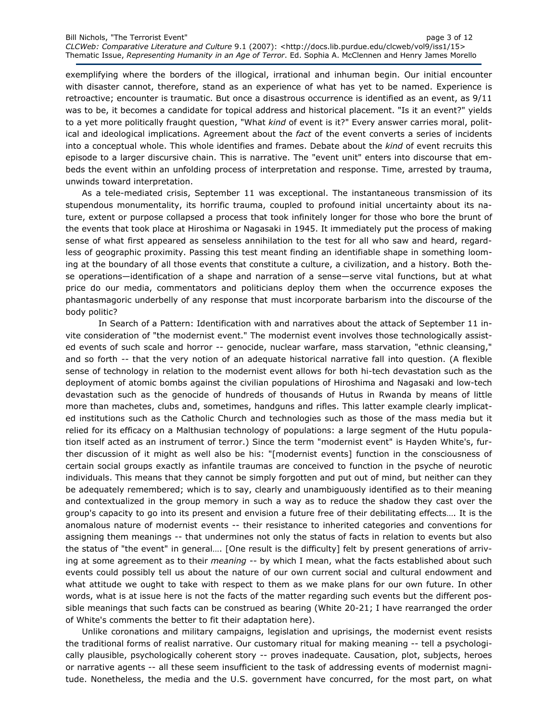exemplifying where the borders of the illogical, irrational and inhuman begin. Our initial encounter with disaster cannot, therefore, stand as an experience of what has yet to be named. Experience is retroactive; encounter is traumatic. But once a disastrous occurrence is identified as an event, as 9/11 was to be, it becomes a candidate for topical address and historical placement. "Is it an event?" yields to a yet more politically fraught question, "What kind of event is it?" Every answer carries moral, political and ideological implications. Agreement about the fact of the event converts a series of incidents into a conceptual whole. This whole identifies and frames. Debate about the kind of event recruits this episode to a larger discursive chain. This is narrative. The "event unit" enters into discourse that embeds the event within an unfolding process of interpretation and response. Time, arrested by trauma, unwinds toward interpretation.

As a tele-mediated crisis, September 11 was exceptional. The instantaneous transmission of its stupendous monumentality, its horrific trauma, coupled to profound initial uncertainty about its nature, extent or purpose collapsed a process that took infinitely longer for those who bore the brunt of the events that took place at Hiroshima or Nagasaki in 1945. It immediately put the process of making sense of what first appeared as senseless annihilation to the test for all who saw and heard, regardless of geographic proximity. Passing this test meant finding an identifiable shape in something looming at the boundary of all those events that constitute a culture, a civilization, and a history. Both these operations—identification of a shape and narration of a sense—serve vital functions, but at what price do our media, commentators and politicians deploy them when the occurrence exposes the phantasmagoric underbelly of any response that must incorporate barbarism into the discourse of the body politic?

 In Search of a Pattern: Identification with and narratives about the attack of September 11 invite consideration of "the modernist event." The modernist event involves those technologically assisted events of such scale and horror -- genocide, nuclear warfare, mass starvation, "ethnic cleansing," and so forth -- that the very notion of an adequate historical narrative fall into question. (A flexible sense of technology in relation to the modernist event allows for both hi-tech devastation such as the deployment of atomic bombs against the civilian populations of Hiroshima and Nagasaki and low-tech devastation such as the genocide of hundreds of thousands of Hutus in Rwanda by means of little more than machetes, clubs and, sometimes, handguns and rifles. This latter example clearly implicated institutions such as the Catholic Church and technologies such as those of the mass media but it relied for its efficacy on a Malthusian technology of populations: a large segment of the Hutu population itself acted as an instrument of terror.) Since the term "modernist event" is Hayden White's, further discussion of it might as well also be his: "[modernist events] function in the consciousness of certain social groups exactly as infantile traumas are conceived to function in the psyche of neurotic individuals. This means that they cannot be simply forgotten and put out of mind, but neither can they be adequately remembered; which is to say, clearly and unambiguously identified as to their meaning and contextualized in the group memory in such a way as to reduce the shadow they cast over the group's capacity to go into its present and envision a future free of their debilitating effects…. It is the anomalous nature of modernist events -- their resistance to inherited categories and conventions for assigning them meanings -- that undermines not only the status of facts in relation to events but also the status of "the event" in general…. [One result is the difficulty] felt by present generations of arriving at some agreement as to their meaning -- by which I mean, what the facts established about such events could possibly tell us about the nature of our own current social and cultural endowment and what attitude we ought to take with respect to them as we make plans for our own future. In other words, what is at issue here is not the facts of the matter regarding such events but the different possible meanings that such facts can be construed as bearing (White 20-21; I have rearranged the order of White's comments the better to fit their adaptation here).

Unlike coronations and military campaigns, legislation and uprisings, the modernist event resists the traditional forms of realist narrative. Our customary ritual for making meaning -- tell a psychologically plausible, psychologically coherent story -- proves inadequate. Causation, plot, subjects, heroes or narrative agents -- all these seem insufficient to the task of addressing events of modernist magnitude. Nonetheless, the media and the U.S. government have concurred, for the most part, on what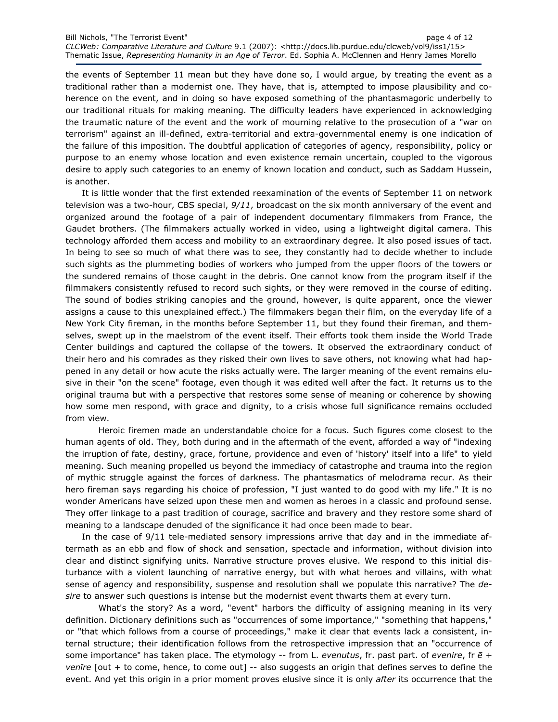the events of September 11 mean but they have done so, I would argue, by treating the event as a traditional rather than a modernist one. They have, that is, attempted to impose plausibility and coherence on the event, and in doing so have exposed something of the phantasmagoric underbelly to our traditional rituals for making meaning. The difficulty leaders have experienced in acknowledging the traumatic nature of the event and the work of mourning relative to the prosecution of a "war on terrorism" against an ill-defined, extra-territorial and extra-governmental enemy is one indication of the failure of this imposition. The doubtful application of categories of agency, responsibility, policy or purpose to an enemy whose location and even existence remain uncertain, coupled to the vigorous desire to apply such categories to an enemy of known location and conduct, such as Saddam Hussein, is another.

It is little wonder that the first extended reexamination of the events of September 11 on network television was a two-hour, CBS special,  $9/11$ , broadcast on the six month anniversary of the event and organized around the footage of a pair of independent documentary filmmakers from France, the Gaudet brothers. (The filmmakers actually worked in video, using a lightweight digital camera. This technology afforded them access and mobility to an extraordinary degree. It also posed issues of tact. In being to see so much of what there was to see, they constantly had to decide whether to include such sights as the plummeting bodies of workers who jumped from the upper floors of the towers or the sundered remains of those caught in the debris. One cannot know from the program itself if the filmmakers consistently refused to record such sights, or they were removed in the course of editing. The sound of bodies striking canopies and the ground, however, is quite apparent, once the viewer assigns a cause to this unexplained effect.) The filmmakers began their film, on the everyday life of a New York City fireman, in the months before September 11, but they found their fireman, and themselves, swept up in the maelstrom of the event itself. Their efforts took them inside the World Trade Center buildings and captured the collapse of the towers. It observed the extraordinary conduct of their hero and his comrades as they risked their own lives to save others, not knowing what had happened in any detail or how acute the risks actually were. The larger meaning of the event remains elusive in their "on the scene" footage, even though it was edited well after the fact. It returns us to the original trauma but with a perspective that restores some sense of meaning or coherence by showing how some men respond, with grace and dignity, to a crisis whose full significance remains occluded from view.

 Heroic firemen made an understandable choice for a focus. Such figures come closest to the human agents of old. They, both during and in the aftermath of the event, afforded a way of "indexing the irruption of fate, destiny, grace, fortune, providence and even of 'history' itself into a life" to yield meaning. Such meaning propelled us beyond the immediacy of catastrophe and trauma into the region of mythic struggle against the forces of darkness. The phantasmatics of melodrama recur. As their hero fireman says regarding his choice of profession, "I just wanted to do good with my life." It is no wonder Americans have seized upon these men and women as heroes in a classic and profound sense. They offer linkage to a past tradition of courage, sacrifice and bravery and they restore some shard of meaning to a landscape denuded of the significance it had once been made to bear.

In the case of 9/11 tele-mediated sensory impressions arrive that day and in the immediate aftermath as an ebb and flow of shock and sensation, spectacle and information, without division into clear and distinct signifying units. Narrative structure proves elusive. We respond to this initial disturbance with a violent launching of narrative energy, but with what heroes and villains, with what sense of agency and responsibility, suspense and resolution shall we populate this narrative? The desire to answer such questions is intense but the modernist event thwarts them at every turn.

 What's the story? As a word, "event" harbors the difficulty of assigning meaning in its very definition. Dictionary definitions such as "occurrences of some importance," "something that happens," or "that which follows from a course of proceedings," make it clear that events lack a consistent, internal structure; their identification follows from the retrospective impression that an "occurrence of some importance" has taken place. The etymology -- from L. evenutus, fr. past part. of evenire, fr  $\bar{e}$  + venire [out + to come, hence, to come out] -- also suggests an origin that defines serves to define the event. And yet this origin in a prior moment proves elusive since it is only after its occurrence that the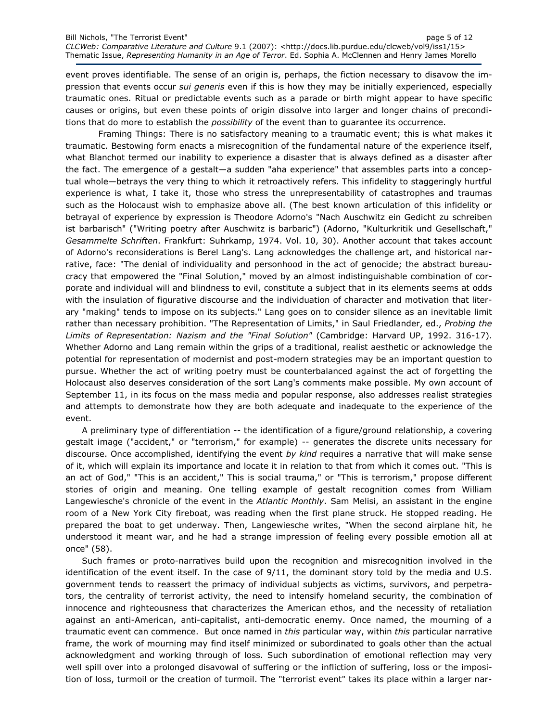event proves identifiable. The sense of an origin is, perhaps, the fiction necessary to disavow the impression that events occur sui generis even if this is how they may be initially experienced, especially traumatic ones. Ritual or predictable events such as a parade or birth might appear to have specific causes or origins, but even these points of origin dissolve into larger and longer chains of preconditions that do more to establish the *possibility* of the event than to quarantee its occurrence.

 Framing Things: There is no satisfactory meaning to a traumatic event; this is what makes it traumatic. Bestowing form enacts a misrecognition of the fundamental nature of the experience itself, what Blanchot termed our inability to experience a disaster that is always defined as a disaster after the fact. The emergence of a gestalt—a sudden "aha experience" that assembles parts into a conceptual whole—betrays the very thing to which it retroactively refers. This infidelity to staggeringly hurtful experience is what, I take it, those who stress the unrepresentability of catastrophes and traumas such as the Holocaust wish to emphasize above all. (The best known articulation of this infidelity or betrayal of experience by expression is Theodore Adorno's "Nach Auschwitz ein Gedicht zu schreiben ist barbarisch" ("Writing poetry after Auschwitz is barbaric") (Adorno, "Kulturkritik und Gesellschaft," Gesammelte Schriften. Frankfurt: Suhrkamp, 1974. Vol. 10, 30). Another account that takes account of Adorno's reconsiderations is Berel Lang's. Lang acknowledges the challenge art, and historical narrative, face: "The denial of individuality and personhood in the act of genocide; the abstract bureaucracy that empowered the "Final Solution," moved by an almost indistinguishable combination of corporate and individual will and blindness to evil, constitute a subject that in its elements seems at odds with the insulation of figurative discourse and the individuation of character and motivation that literary "making" tends to impose on its subjects." Lang goes on to consider silence as an inevitable limit rather than necessary prohibition. "The Representation of Limits," in Saul Friedlander, ed., Probing the Limits of Representation: Nazism and the "Final Solution" (Cambridge: Harvard UP, 1992. 316-17). Whether Adorno and Lang remain within the grips of a traditional, realist aesthetic or acknowledge the potential for representation of modernist and post-modern strategies may be an important question to pursue. Whether the act of writing poetry must be counterbalanced against the act of forgetting the Holocaust also deserves consideration of the sort Lang's comments make possible. My own account of September 11, in its focus on the mass media and popular response, also addresses realist strategies and attempts to demonstrate how they are both adequate and inadequate to the experience of the event.

A preliminary type of differentiation -- the identification of a figure/ground relationship, a covering gestalt image ("accident," or "terrorism," for example) -- generates the discrete units necessary for discourse. Once accomplished, identifying the event by kind requires a narrative that will make sense of it, which will explain its importance and locate it in relation to that from which it comes out. "This is an act of God," "This is an accident," This is social trauma," or "This is terrorism," propose different stories of origin and meaning. One telling example of gestalt recognition comes from William Langewiesche's chronicle of the event in the Atlantic Monthly. Sam Melisi, an assistant in the engine room of a New York City fireboat, was reading when the first plane struck. He stopped reading. He prepared the boat to get underway. Then, Langewiesche writes, "When the second airplane hit, he understood it meant war, and he had a strange impression of feeling every possible emotion all at once" (58).

Such frames or proto-narratives build upon the recognition and misrecognition involved in the identification of the event itself. In the case of 9/11, the dominant story told by the media and U.S. government tends to reassert the primacy of individual subjects as victims, survivors, and perpetrators, the centrality of terrorist activity, the need to intensify homeland security, the combination of innocence and righteousness that characterizes the American ethos, and the necessity of retaliation against an anti-American, anti-capitalist, anti-democratic enemy. Once named, the mourning of a traumatic event can commence. But once named in this particular way, within this particular narrative frame, the work of mourning may find itself minimized or subordinated to goals other than the actual acknowledgment and working through of loss. Such subordination of emotional reflection may very well spill over into a prolonged disavowal of suffering or the infliction of suffering, loss or the imposition of loss, turmoil or the creation of turmoil. The "terrorist event" takes its place within a larger nar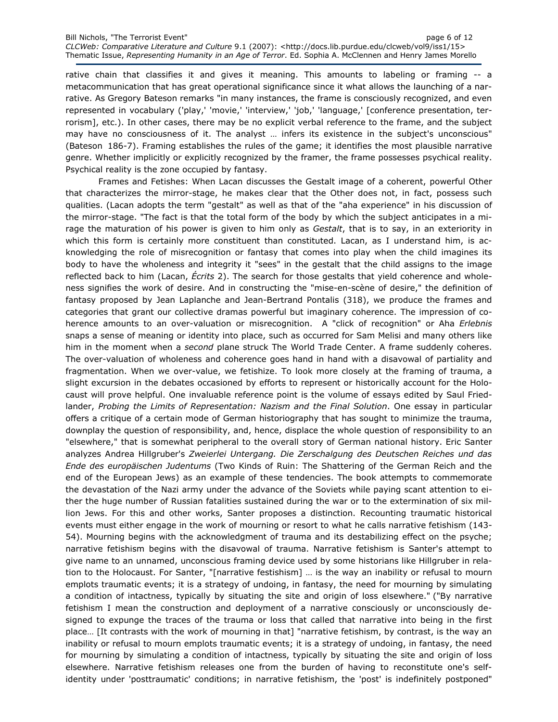rative chain that classifies it and gives it meaning. This amounts to labeling or framing -- a metacommunication that has great operational significance since it what allows the launching of a narrative. As Gregory Bateson remarks "in many instances, the frame is consciously recognized, and even represented in vocabulary ('play,' 'movie,' 'interview,' 'job,' 'language,' [conference presentation, terrorism], etc.). In other cases, there may be no explicit verbal reference to the frame, and the subject may have no consciousness of it. The analyst … infers its existence in the subject's unconscious" (Bateson 186-7). Framing establishes the rules of the game; it identifies the most plausible narrative genre. Whether implicitly or explicitly recognized by the framer, the frame possesses psychical reality. Psychical reality is the zone occupied by fantasy.

 Frames and Fetishes: When Lacan discusses the Gestalt image of a coherent, powerful Other that characterizes the mirror-stage, he makes clear that the Other does not, in fact, possess such qualities. (Lacan adopts the term "gestalt" as well as that of the "aha experience" in his discussion of the mirror-stage. "The fact is that the total form of the body by which the subject anticipates in a mirage the maturation of his power is given to him only as Gestalt, that is to say, in an exteriority in which this form is certainly more constituent than constituted. Lacan, as I understand him, is acknowledging the role of misrecognition or fantasy that comes into play when the child imagines its body to have the wholeness and integrity it "sees" in the gestalt that the child assigns to the image reflected back to him (Lacan, Écrits 2). The search for those gestalts that yield coherence and wholeness signifies the work of desire. And in constructing the "mise-en-scène of desire," the definition of fantasy proposed by Jean Laplanche and Jean-Bertrand Pontalis (318), we produce the frames and categories that grant our collective dramas powerful but imaginary coherence. The impression of coherence amounts to an over-valuation or misrecognition. A "click of recognition" or Aha Erlebnis snaps a sense of meaning or identity into place, such as occurred for Sam Melisi and many others like him in the moment when a second plane struck The World Trade Center. A frame suddenly coheres. The over-valuation of wholeness and coherence goes hand in hand with a disavowal of partiality and fragmentation. When we over-value, we fetishize. To look more closely at the framing of trauma, a slight excursion in the debates occasioned by efforts to represent or historically account for the Holocaust will prove helpful. One invaluable reference point is the volume of essays edited by Saul Friedlander, Probing the Limits of Representation: Nazism and the Final Solution. One essay in particular offers a critique of a certain mode of German historiography that has sought to minimize the trauma, downplay the question of responsibility, and, hence, displace the whole question of responsibility to an "elsewhere," that is somewhat peripheral to the overall story of German national history. Eric Santer analyzes Andrea Hillgruber's Zweierlei Untergang. Die Zerschalgung des Deutschen Reiches und das Ende des europäischen Judentums (Two Kinds of Ruin: The Shattering of the German Reich and the end of the European Jews) as an example of these tendencies. The book attempts to commemorate the devastation of the Nazi army under the advance of the Soviets while paying scant attention to either the huge number of Russian fatalities sustained during the war or to the extermination of six million Jews. For this and other works, Santer proposes a distinction. Recounting traumatic historical events must either engage in the work of mourning or resort to what he calls narrative fetishism (143- 54). Mourning begins with the acknowledgment of trauma and its destabilizing effect on the psyche; narrative fetishism begins with the disavowal of trauma. Narrative fetishism is Santer's attempt to give name to an unnamed, unconscious framing device used by some historians like Hillgruber in relation to the Holocaust. For Santer, "[narrative festishism] … is the way an inability or refusal to mourn emplots traumatic events; it is a strategy of undoing, in fantasy, the need for mourning by simulating a condition of intactness, typically by situating the site and origin of loss elsewhere." ("By narrative fetishism I mean the construction and deployment of a narrative consciously or unconsciously designed to expunge the traces of the trauma or loss that called that narrative into being in the first place… [It contrasts with the work of mourning in that] "narrative fetishism, by contrast, is the way an inability or refusal to mourn emplots traumatic events; it is a strategy of undoing, in fantasy, the need for mourning by simulating a condition of intactness, typically by situating the site and origin of loss elsewhere. Narrative fetishism releases one from the burden of having to reconstitute one's selfidentity under 'posttraumatic' conditions; in narrative fetishism, the 'post' is indefinitely postponed"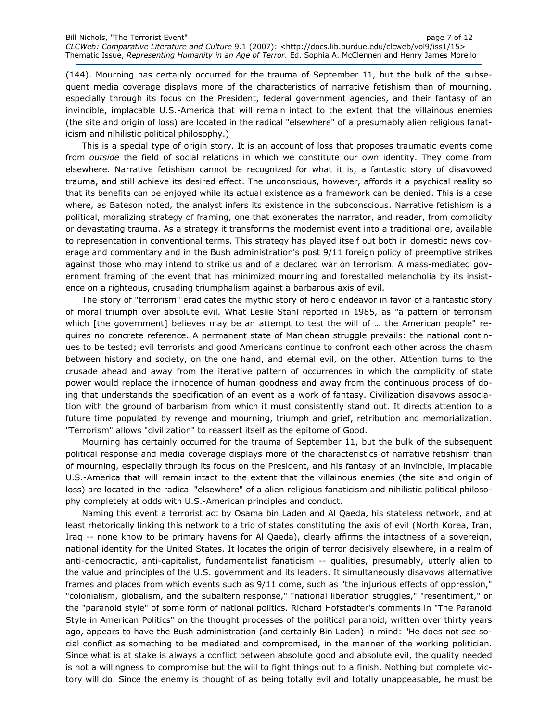(144). Mourning has certainly occurred for the trauma of September 11, but the bulk of the subsequent media coverage displays more of the characteristics of narrative fetishism than of mourning, especially through its focus on the President, federal government agencies, and their fantasy of an invincible, implacable U.S.-America that will remain intact to the extent that the villainous enemies (the site and origin of loss) are located in the radical "elsewhere" of a presumably alien religious fanaticism and nihilistic political philosophy.)

This is a special type of origin story. It is an account of loss that proposes traumatic events come from *outside* the field of social relations in which we constitute our own identity. They come from elsewhere. Narrative fetishism cannot be recognized for what it is, a fantastic story of disavowed trauma, and still achieve its desired effect. The unconscious, however, affords it a psychical reality so that its benefits can be enjoyed while its actual existence as a framework can be denied. This is a case where, as Bateson noted, the analyst infers its existence in the subconscious. Narrative fetishism is a political, moralizing strategy of framing, one that exonerates the narrator, and reader, from complicity or devastating trauma. As a strategy it transforms the modernist event into a traditional one, available to representation in conventional terms. This strategy has played itself out both in domestic news coverage and commentary and in the Bush administration's post 9/11 foreign policy of preemptive strikes against those who may intend to strike us and of a declared war on terrorism. A mass-mediated government framing of the event that has minimized mourning and forestalled melancholia by its insistence on a righteous, crusading triumphalism against a barbarous axis of evil.

The story of "terrorism" eradicates the mythic story of heroic endeavor in favor of a fantastic story of moral triumph over absolute evil. What Leslie Stahl reported in 1985, as "a pattern of terrorism which [the government] believes may be an attempt to test the will of ... the American people" requires no concrete reference. A permanent state of Manichean struggle prevails: the national continues to be tested; evil terrorists and good Americans continue to confront each other across the chasm between history and society, on the one hand, and eternal evil, on the other. Attention turns to the crusade ahead and away from the iterative pattern of occurrences in which the complicity of state power would replace the innocence of human goodness and away from the continuous process of doing that understands the specification of an event as a work of fantasy. Civilization disavows association with the ground of barbarism from which it must consistently stand out. It directs attention to a future time populated by revenge and mourning, triumph and grief, retribution and memorialization. "Terrorism" allows "civilization" to reassert itself as the epitome of Good.

Mourning has certainly occurred for the trauma of September 11, but the bulk of the subsequent political response and media coverage displays more of the characteristics of narrative fetishism than of mourning, especially through its focus on the President, and his fantasy of an invincible, implacable U.S.-America that will remain intact to the extent that the villainous enemies (the site and origin of loss) are located in the radical "elsewhere" of a alien religious fanaticism and nihilistic political philosophy completely at odds with U.S.-American principles and conduct.

Naming this event a terrorist act by Osama bin Laden and Al Qaeda, his stateless network, and at least rhetorically linking this network to a trio of states constituting the axis of evil (North Korea, Iran, Iraq -- none know to be primary havens for Al Qaeda), clearly affirms the intactness of a sovereign, national identity for the United States. It locates the origin of terror decisively elsewhere, in a realm of anti-democractic, anti-capitalist, fundamentalist fanaticism -- qualities, presumably, utterly alien to the value and principles of the U.S. government and its leaders. It simultaneously disavows alternative frames and places from which events such as 9/11 come, such as "the injurious effects of oppression," "colonialism, globalism, and the subaltern response," "national liberation struggles," "resentiment," or the "paranoid style" of some form of national politics. Richard Hofstadter's comments in "The Paranoid Style in American Politics" on the thought processes of the political paranoid, written over thirty years ago, appears to have the Bush administration (and certainly Bin Laden) in mind: "He does not see social conflict as something to be mediated and compromised, in the manner of the working politician. Since what is at stake is always a conflict between absolute good and absolute evil, the quality needed is not a willingness to compromise but the will to fight things out to a finish. Nothing but complete victory will do. Since the enemy is thought of as being totally evil and totally unappeasable, he must be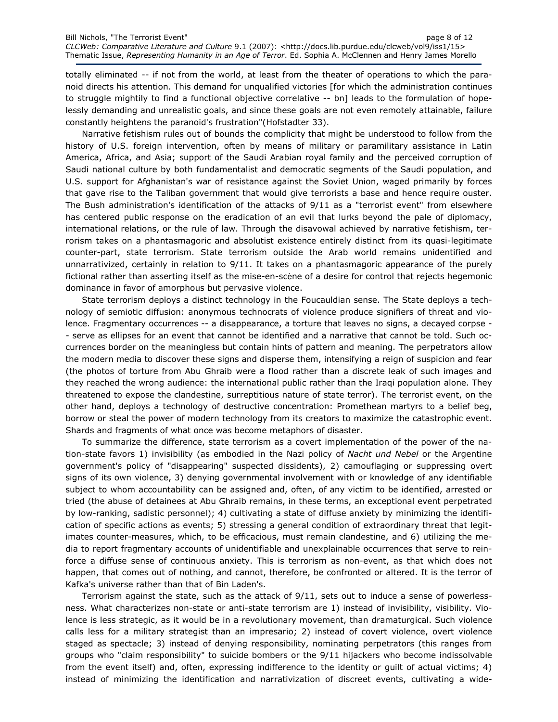totally eliminated -- if not from the world, at least from the theater of operations to which the paranoid directs his attention. This demand for unqualified victories [for which the administration continues to struggle mightily to find a functional objective correlative -- bn] leads to the formulation of hopelessly demanding and unrealistic goals, and since these goals are not even remotely attainable, failure constantly heightens the paranoid's frustration"(Hofstadter 33).

Narrative fetishism rules out of bounds the complicity that might be understood to follow from the history of U.S. foreign intervention, often by means of military or paramilitary assistance in Latin America, Africa, and Asia; support of the Saudi Arabian royal family and the perceived corruption of Saudi national culture by both fundamentalist and democratic segments of the Saudi population, and U.S. support for Afghanistan's war of resistance against the Soviet Union, waged primarily by forces that gave rise to the Taliban government that would give terrorists a base and hence require ouster. The Bush administration's identification of the attacks of 9/11 as a "terrorist event" from elsewhere has centered public response on the eradication of an evil that lurks beyond the pale of diplomacy, international relations, or the rule of law. Through the disavowal achieved by narrative fetishism, terrorism takes on a phantasmagoric and absolutist existence entirely distinct from its quasi-legitimate counter-part, state terrorism. State terrorism outside the Arab world remains unidentified and unnarrativized, certainly in relation to 9/11. It takes on a phantasmagoric appearance of the purely fictional rather than asserting itself as the mise-en-scène of a desire for control that rejects hegemonic dominance in favor of amorphous but pervasive violence.

State terrorism deploys a distinct technology in the Foucauldian sense. The State deploys a technology of semiotic diffusion: anonymous technocrats of violence produce signifiers of threat and violence. Fragmentary occurrences -- a disappearance, a torture that leaves no signs, a decayed corpse - - serve as ellipses for an event that cannot be identified and a narrative that cannot be told. Such occurrences border on the meaningless but contain hints of pattern and meaning. The perpetrators allow the modern media to discover these signs and disperse them, intensifying a reign of suspicion and fear (the photos of torture from Abu Ghraib were a flood rather than a discrete leak of such images and they reached the wrong audience: the international public rather than the Iraqi population alone. They threatened to expose the clandestine, surreptitious nature of state terror). The terrorist event, on the other hand, deploys a technology of destructive concentration: Promethean martyrs to a belief beg, borrow or steal the power of modern technology from its creators to maximize the catastrophic event. Shards and fragments of what once was become metaphors of disaster.

To summarize the difference, state terrorism as a covert implementation of the power of the nation-state favors 1) invisibility (as embodied in the Nazi policy of Nacht und Nebel or the Argentine government's policy of "disappearing" suspected dissidents), 2) camouflaging or suppressing overt signs of its own violence, 3) denying governmental involvement with or knowledge of any identifiable subject to whom accountability can be assigned and, often, of any victim to be identified, arrested or tried (the abuse of detainees at Abu Ghraib remains, in these terms, an exceptional event perpetrated by low-ranking, sadistic personnel); 4) cultivating a state of diffuse anxiety by minimizing the identification of specific actions as events; 5) stressing a general condition of extraordinary threat that legitimates counter-measures, which, to be efficacious, must remain clandestine, and 6) utilizing the media to report fragmentary accounts of unidentifiable and unexplainable occurrences that serve to reinforce a diffuse sense of continuous anxiety. This is terrorism as non-event, as that which does not happen, that comes out of nothing, and cannot, therefore, be confronted or altered. It is the terror of Kafka's universe rather than that of Bin Laden's.

Terrorism against the state, such as the attack of 9/11, sets out to induce a sense of powerlessness. What characterizes non-state or anti-state terrorism are 1) instead of invisibility, visibility. Violence is less strategic, as it would be in a revolutionary movement, than dramaturgical. Such violence calls less for a military strategist than an impresario; 2) instead of covert violence, overt violence staged as spectacle; 3) instead of denying responsibility, nominating perpetrators (this ranges from groups who "claim responsibility" to suicide bombers or the 9/11 hijackers who become indissolvable from the event itself) and, often, expressing indifference to the identity or guilt of actual victims; 4) instead of minimizing the identification and narrativization of discreet events, cultivating a wide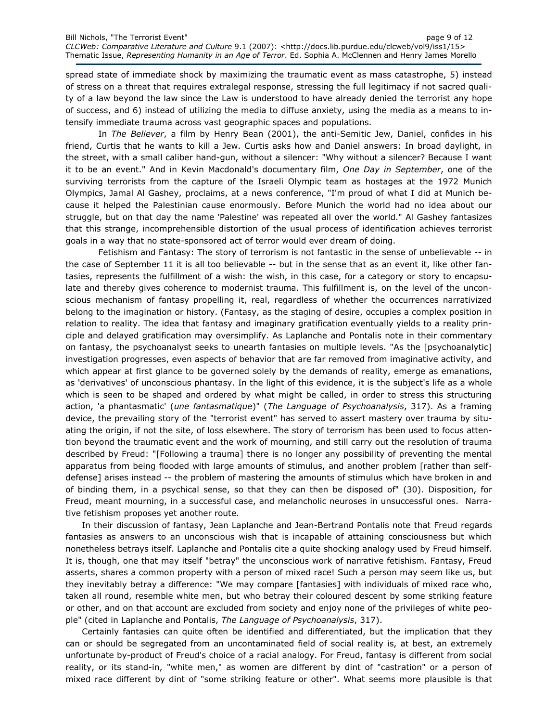spread state of immediate shock by maximizing the traumatic event as mass catastrophe, 5) instead of stress on a threat that requires extralegal response, stressing the full legitimacy if not sacred quality of a law beyond the law since the Law is understood to have already denied the terrorist any hope of success, and 6) instead of utilizing the media to diffuse anxiety, using the media as a means to intensify immediate trauma across vast geographic spaces and populations.

In The Believer, a film by Henry Bean (2001), the anti-Semitic Jew, Daniel, confides in his friend, Curtis that he wants to kill a Jew. Curtis asks how and Daniel answers: In broad daylight, in the street, with a small caliber hand-gun, without a silencer: "Why without a silencer? Because I want it to be an event." And in Kevin Macdonald's documentary film, One Day in September, one of the surviving terrorists from the capture of the Israeli Olympic team as hostages at the 1972 Munich Olympics, Jamal Al Gashey, proclaims, at a news conference, "I'm proud of what I did at Munich because it helped the Palestinian cause enormously. Before Munich the world had no idea about our struggle, but on that day the name 'Palestine' was repeated all over the world." Al Gashey fantasizes that this strange, incomprehensible distortion of the usual process of identification achieves terrorist goals in a way that no state-sponsored act of terror would ever dream of doing.

 Fetishism and Fantasy: The story of terrorism is not fantastic in the sense of unbelievable -- in the case of September 11 it is all too believable -- but in the sense that as an event it, like other fantasies, represents the fulfillment of a wish: the wish, in this case, for a category or story to encapsulate and thereby gives coherence to modernist trauma. This fulfillment is, on the level of the unconscious mechanism of fantasy propelling it, real, regardless of whether the occurrences narrativized belong to the imagination or history. (Fantasy, as the staging of desire, occupies a complex position in relation to reality. The idea that fantasy and imaginary gratification eventually yields to a reality principle and delayed gratification may oversimplify. As Laplanche and Pontalis note in their commentary on fantasy, the psychoanalyst seeks to unearth fantasies on multiple levels. "As the [psychoanalytic] investigation progresses, even aspects of behavior that are far removed from imaginative activity, and which appear at first glance to be governed solely by the demands of reality, emerge as emanations, as 'derivatives' of unconscious phantasy. In the light of this evidence, it is the subject's life as a whole which is seen to be shaped and ordered by what might be called, in order to stress this structuring action, 'a phantasmatic' (une fantasmatique)" (The Language of Psychoanalysis, 317). As a framing device, the prevailing story of the "terrorist event" has served to assert mastery over trauma by situating the origin, if not the site, of loss elsewhere. The story of terrorism has been used to focus attention beyond the traumatic event and the work of mourning, and still carry out the resolution of trauma described by Freud: "[Following a trauma] there is no longer any possibility of preventing the mental apparatus from being flooded with large amounts of stimulus, and another problem [rather than selfdefense] arises instead -- the problem of mastering the amounts of stimulus which have broken in and of binding them, in a psychical sense, so that they can then be disposed of" (30). Disposition, for Freud, meant mourning, in a successful case, and melancholic neuroses in unsuccessful ones. Narrative fetishism proposes yet another route.

In their discussion of fantasy, Jean Laplanche and Jean-Bertrand Pontalis note that Freud regards fantasies as answers to an unconscious wish that is incapable of attaining consciousness but which nonetheless betrays itself. Laplanche and Pontalis cite a quite shocking analogy used by Freud himself. It is, though, one that may itself "betray" the unconscious work of narrative fetishism. Fantasy, Freud asserts, shares a common property with a person of mixed race! Such a person may seem like us, but they inevitably betray a difference: "We may compare [fantasies] with individuals of mixed race who, taken all round, resemble white men, but who betray their coloured descent by some striking feature or other, and on that account are excluded from society and enjoy none of the privileges of white people" (cited in Laplanche and Pontalis, The Language of Psychoanalysis, 317).

Certainly fantasies can quite often be identified and differentiated, but the implication that they can or should be segregated from an uncontaminated field of social reality is, at best, an extremely unfortunate by-product of Freud's choice of a racial analogy. For Freud, fantasy is different from social reality, or its stand-in, "white men," as women are different by dint of "castration" or a person of mixed race different by dint of "some striking feature or other". What seems more plausible is that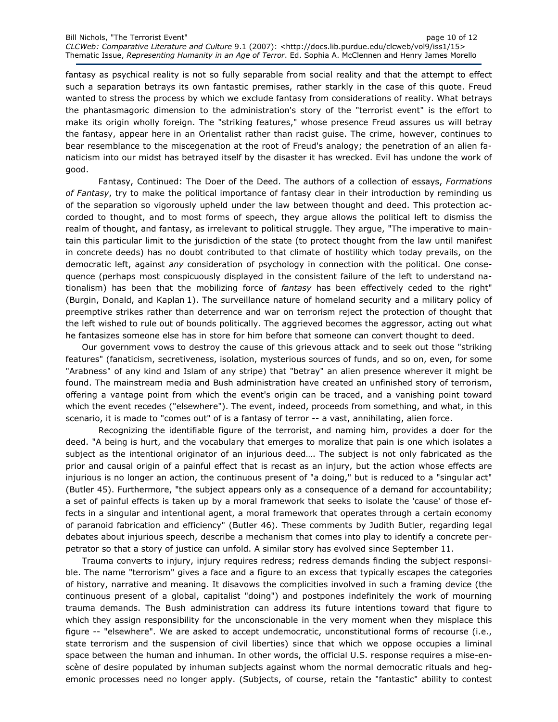fantasy as psychical reality is not so fully separable from social reality and that the attempt to effect such a separation betrays its own fantastic premises, rather starkly in the case of this quote. Freud wanted to stress the process by which we exclude fantasy from considerations of reality. What betrays the phantasmagoric dimension to the administration's story of the "terrorist event" is the effort to make its origin wholly foreign. The "striking features," whose presence Freud assures us will betray the fantasy, appear here in an Orientalist rather than racist guise. The crime, however, continues to bear resemblance to the miscegenation at the root of Freud's analogy; the penetration of an alien fanaticism into our midst has betrayed itself by the disaster it has wrecked. Evil has undone the work of good.

Fantasy, Continued: The Doer of the Deed. The authors of a collection of essays, Formations of Fantasy, try to make the political importance of fantasy clear in their introduction by reminding us of the separation so vigorously upheld under the law between thought and deed. This protection accorded to thought, and to most forms of speech, they argue allows the political left to dismiss the realm of thought, and fantasy, as irrelevant to political struggle. They argue, "The imperative to maintain this particular limit to the jurisdiction of the state (to protect thought from the law until manifest in concrete deeds) has no doubt contributed to that climate of hostility which today prevails, on the democratic left, against any consideration of psychology in connection with the political. One consequence (perhaps most conspicuously displayed in the consistent failure of the left to understand nationalism) has been that the mobilizing force of *fantasy* has been effectively ceded to the right" (Burgin, Donald, and Kaplan 1). The surveillance nature of homeland security and a military policy of preemptive strikes rather than deterrence and war on terrorism reject the protection of thought that the left wished to rule out of bounds politically. The aggrieved becomes the aggressor, acting out what he fantasizes someone else has in store for him before that someone can convert thought to deed.

Our government vows to destroy the cause of this grievous attack and to seek out those "striking features" (fanaticism, secretiveness, isolation, mysterious sources of funds, and so on, even, for some "Arabness" of any kind and Islam of any stripe) that "betray" an alien presence wherever it might be found. The mainstream media and Bush administration have created an unfinished story of terrorism, offering a vantage point from which the event's origin can be traced, and a vanishing point toward which the event recedes ("elsewhere"). The event, indeed, proceeds from something, and what, in this scenario, it is made to "comes out" of is a fantasy of terror -- a vast, annihilating, alien force.

 Recognizing the identifiable figure of the terrorist, and naming him, provides a doer for the deed. "A being is hurt, and the vocabulary that emerges to moralize that pain is one which isolates a subject as the intentional originator of an injurious deed…. The subject is not only fabricated as the prior and causal origin of a painful effect that is recast as an injury, but the action whose effects are injurious is no longer an action, the continuous present of "a doing," but is reduced to a "singular act" (Butler 45). Furthermore, "the subject appears only as a consequence of a demand for accountability; a set of painful effects is taken up by a moral framework that seeks to isolate the 'cause' of those effects in a singular and intentional agent, a moral framework that operates through a certain economy of paranoid fabrication and efficiency" (Butler 46). These comments by Judith Butler, regarding legal debates about injurious speech, describe a mechanism that comes into play to identify a concrete perpetrator so that a story of justice can unfold. A similar story has evolved since September 11.

Trauma converts to injury, injury requires redress; redress demands finding the subject responsible. The name "terrorism" gives a face and a figure to an excess that typically escapes the categories of history, narrative and meaning. It disavows the complicities involved in such a framing device (the continuous present of a global, capitalist "doing") and postpones indefinitely the work of mourning trauma demands. The Bush administration can address its future intentions toward that figure to which they assign responsibility for the unconscionable in the very moment when they misplace this figure -- "elsewhere". We are asked to accept undemocratic, unconstitutional forms of recourse (i.e., state terrorism and the suspension of civil liberties) since that which we oppose occupies a liminal space between the human and inhuman. In other words, the official U.S. response requires a mise-enscène of desire populated by inhuman subjects against whom the normal democratic rituals and hegemonic processes need no longer apply. (Subjects, of course, retain the "fantastic" ability to contest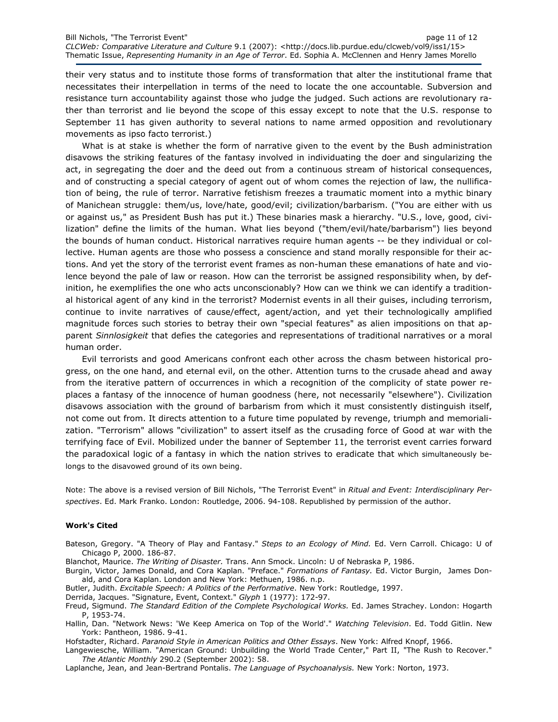their very status and to institute those forms of transformation that alter the institutional frame that necessitates their interpellation in terms of the need to locate the one accountable. Subversion and resistance turn accountability against those who judge the judged. Such actions are revolutionary rather than terrorist and lie beyond the scope of this essay except to note that the U.S. response to September 11 has given authority to several nations to name armed opposition and revolutionary movements as ipso facto terrorist.)

What is at stake is whether the form of narrative given to the event by the Bush administration disavows the striking features of the fantasy involved in individuating the doer and singularizing the act, in segregating the doer and the deed out from a continuous stream of historical consequences, and of constructing a special category of agent out of whom comes the rejection of law, the nullification of being, the rule of terror. Narrative fetishism freezes a traumatic moment into a mythic binary of Manichean struggle: them/us, love/hate, good/evil; civilization/barbarism. ("You are either with us or against us," as President Bush has put it.) These binaries mask a hierarchy. "U.S., love, good, civilization" define the limits of the human. What lies beyond ("them/evil/hate/barbarism") lies beyond the bounds of human conduct. Historical narratives require human agents -- be they individual or collective. Human agents are those who possess a conscience and stand morally responsible for their actions. And yet the story of the terrorist event frames as non-human these emanations of hate and violence beyond the pale of law or reason. How can the terrorist be assigned responsibility when, by definition, he exemplifies the one who acts unconscionably? How can we think we can identify a traditional historical agent of any kind in the terrorist? Modernist events in all their guises, including terrorism, continue to invite narratives of cause/effect, agent/action, and yet their technologically amplified magnitude forces such stories to betray their own "special features" as alien impositions on that apparent Sinnlosigkeit that defies the categories and representations of traditional narratives or a moral human order.

Evil terrorists and good Americans confront each other across the chasm between historical progress, on the one hand, and eternal evil, on the other. Attention turns to the crusade ahead and away from the iterative pattern of occurrences in which a recognition of the complicity of state power replaces a fantasy of the innocence of human goodness (here, not necessarily "elsewhere"). Civilization disavows association with the ground of barbarism from which it must consistently distinguish itself, not come out from. It directs attention to a future time populated by revenge, triumph and memorialization. "Terrorism" allows "civilization" to assert itself as the crusading force of Good at war with the terrifying face of Evil. Mobilized under the banner of September 11, the terrorist event carries forward the paradoxical logic of a fantasy in which the nation strives to eradicate that which simultaneously belongs to the disavowed ground of its own being.

Note: The above is a revised version of Bill Nichols, "The Terrorist Event" in Ritual and Event: Interdisciplinary Perspectives. Ed. Mark Franko. London: Routledge, 2006. 94-108. Republished by permission of the author.

### Work's Cited

Bateson, Gregory. "A Theory of Play and Fantasy." Steps to an Ecology of Mind. Ed. Vern Carroll. Chicago: U of Chicago P, 2000. 186-87.

Blanchot, Maurice. The Writing of Disaster. Trans. Ann Smock. Lincoln: U of Nebraska P, 1986.

Burgin, Victor, James Donald, and Cora Kaplan. "Preface." Formations of Fantasy. Ed. Victor Burgin, James Donald, and Cora Kaplan. London and New York: Methuen, 1986. n.p.

Butler, Judith. Excitable Speech: A Politics of the Performative. New York: Routledge, 1997.

Derrida, Jacques. "Signature, Event, Context." Glyph 1 (1977): 172-97.

Freud, Sigmund. The Standard Edition of the Complete Psychological Works. Ed. James Strachey. London: Hogarth P, 1953-74.

Hallin, Dan. "Network News: 'We Keep America on Top of the World'." Watching Television. Ed. Todd Gitlin. New York: Pantheon, 1986. 9-41.

Hofstadter, Richard. Paranoid Style in American Politics and Other Essays. New York: Alfred Knopf, 1966.

Langewiesche, William. "American Ground: Unbuilding the World Trade Center," Part II, "The Rush to Recover." The Atlantic Monthly 290.2 (September 2002): 58.

Laplanche, Jean, and Jean-Bertrand Pontalis. The Language of Psychoanalysis. New York: Norton, 1973.